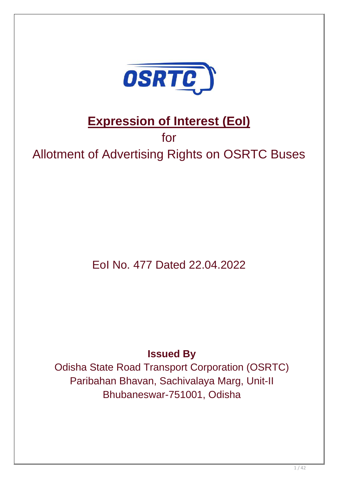

# **Expression of Interest (EoI)**

# for Allotment of Advertising Rights on OSRTC Buses

# EoI No. 477 Dated 22.04.2022

# **Issued By**

Odisha State Road Transport Corporation (OSRTC) Paribahan Bhavan, Sachivalaya Marg, Unit-II Bhubaneswar-751001, Odisha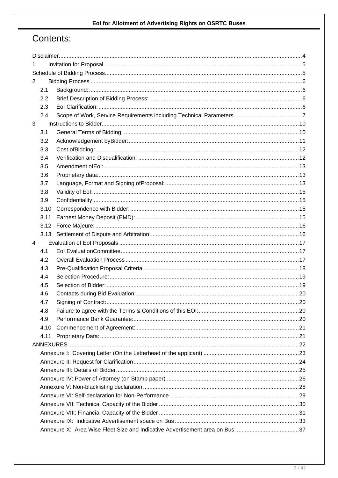# Contents:

| 1    |  |  |  |  |  |  |
|------|--|--|--|--|--|--|
|      |  |  |  |  |  |  |
| 2    |  |  |  |  |  |  |
| 2.1  |  |  |  |  |  |  |
| 2.2  |  |  |  |  |  |  |
| 2.3  |  |  |  |  |  |  |
| 2.4  |  |  |  |  |  |  |
| 3    |  |  |  |  |  |  |
| 3.1  |  |  |  |  |  |  |
| 3.2  |  |  |  |  |  |  |
| 3.3  |  |  |  |  |  |  |
| 3.4  |  |  |  |  |  |  |
| 3.5  |  |  |  |  |  |  |
| 3.6  |  |  |  |  |  |  |
| 3.7  |  |  |  |  |  |  |
| 3.8  |  |  |  |  |  |  |
| 3.9  |  |  |  |  |  |  |
| 3.10 |  |  |  |  |  |  |
| 3.11 |  |  |  |  |  |  |
| 3.12 |  |  |  |  |  |  |
| 3.13 |  |  |  |  |  |  |
| 4    |  |  |  |  |  |  |
| 4.1  |  |  |  |  |  |  |
| 4.2  |  |  |  |  |  |  |
| 4.3  |  |  |  |  |  |  |
| 4.4  |  |  |  |  |  |  |
| 4.5  |  |  |  |  |  |  |
| 4.6  |  |  |  |  |  |  |
| 4.7  |  |  |  |  |  |  |
| 4.8  |  |  |  |  |  |  |
| 4.9  |  |  |  |  |  |  |
| 4.10 |  |  |  |  |  |  |
| 4.11 |  |  |  |  |  |  |
|      |  |  |  |  |  |  |
|      |  |  |  |  |  |  |
|      |  |  |  |  |  |  |
|      |  |  |  |  |  |  |
|      |  |  |  |  |  |  |
|      |  |  |  |  |  |  |
|      |  |  |  |  |  |  |
|      |  |  |  |  |  |  |
|      |  |  |  |  |  |  |
|      |  |  |  |  |  |  |
|      |  |  |  |  |  |  |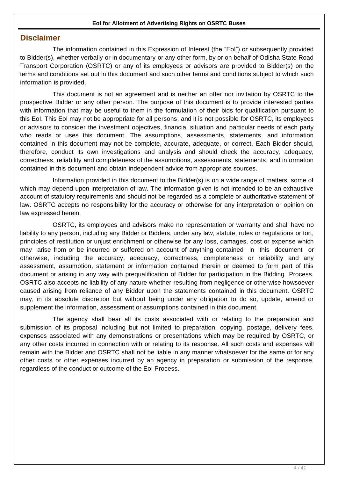#### <span id="page-3-0"></span>**Disclaimer**

The information contained in this Expression of Interest (the "EoI") or subsequently provided to Bidder(s), whether verbally or in documentary or any other form, by or on behalf of Odisha State Road Transport Corporation (OSRTC) or any of its employees or advisors are provided to Bidder(s) on the terms and conditions set out in this document and such other terms and conditions subject to which such information is provided.

This document is not an agreement and is neither an offer nor invitation by OSRTC to the prospective Bidder or any other person. The purpose of this document is to provide interested parties with information that may be useful to them in the formulation of their bids for qualification pursuant to this EoI. This EoI may not be appropriate for all persons, and it is not possible for OSRTC, its employees or advisors to consider the investment objectives, financial situation and particular needs of each party who reads or uses this document. The assumptions, assessments, statements, and information contained in this document may not be complete, accurate, adequate, or correct. Each Bidder should, therefore, conduct its own investigations and analysis and should check the accuracy, adequacy, correctness, reliability and completeness of the assumptions, assessments, statements, and information contained in this document and obtain independent advice from appropriate sources.

Information provided in this document to the Bidder(s) is on a wide range of matters, some of which may depend upon interpretation of law. The information given is not intended to be an exhaustive account of statutory requirements and should not be regarded as a complete or authoritative statement of law. OSRTC accepts no responsibility for the accuracy or otherwise for any interpretation or opinion on law expressed herein.

OSRTC, its employees and advisors make no representation or warranty and shall have no liability to any person, including any Bidder or Bidders, under any law, statute, rules or regulations or tort, principles of restitution or unjust enrichment or otherwise for any loss, damages, cost or expense which may arise from or be incurred or suffered on account of anything contained in this document or otherwise, including the accuracy, adequacy, correctness, completeness or reliability and any assessment, assumption, statement or information contained therein or deemed to form part of this document or arising in any way with prequalification of Bidder for participation in the Bidding Process. OSRTC also accepts no liability of any nature whether resulting from negligence or otherwise howsoever caused arising from reliance of any Bidder upon the statements contained in this document. OSRTC may, in its absolute discretion but without being under any obligation to do so, update, amend or supplement the information, assessment or assumptions contained in this document.

The agency shall bear all its costs associated with or relating to the preparation and submission of its proposal including but not limited to preparation, copying, postage, delivery fees, expenses associated with any demonstrations or presentations which may be required by OSRTC, or any other costs incurred in connection with or relating to its response. All such costs and expenses will remain with the Bidder and OSRTC shall not be liable in any manner whatsoever for the same or for any other costs or other expenses incurred by an agency in preparation or submission of the response, regardless of the conduct or outcome of the EoI Process.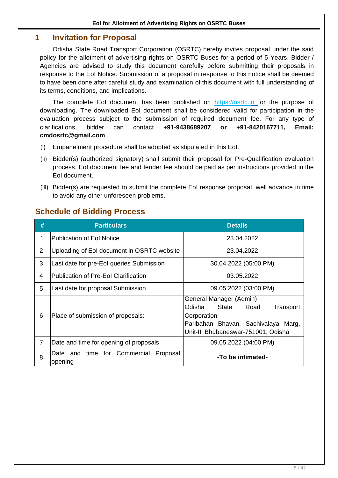#### <span id="page-4-0"></span>**1 Invitation for Proposal**

Odisha State Road Transport Corporation (OSRTC) hereby invites proposal under the said policy for the allotment of advertising rights on OSRTC Buses for a period of 5 Years. Bidder / Agencies are advised to study this document carefully before submitting their proposals in response to the EoI Notice. Submission of a proposal in response to this notice shall be deemed to have been done after careful study and examination of this document with full understanding of its terms, conditions, and implications.

The complete EoI document has been published on [https://osrtc.in](https://osrtc.i/) for the purpose of downloading. The downloaded EoI document shall be considered valid for participation in the evaluation process subject to the submission of required document fee. For any type of clarifications, bidder can contact **+91-9438689207 or +91-8420167711, Email: cmdosrtc@gmail.com** 

- (i) Empanelment procedure shall be adopted as stipulated in this EoI.
- (ii) Bidder(s) (authorized signatory) shall submit their proposal for Pre-Qualification evaluation process. EoI document fee and tender fee should be paid as per instructions provided in the EoI document.
- (iii) Bidder(s) are requested to submit the complete EoI response proposal, well advance in time to avoid any other unforeseen problems.

#### <span id="page-4-1"></span>**Schedule of Bidding Process**

| #              | <b>Particulars</b>                               | <b>Details</b>                                                                                                                                               |
|----------------|--------------------------------------------------|--------------------------------------------------------------------------------------------------------------------------------------------------------------|
| 1              | <b>Publication of Eol Notice</b>                 | 23.04.2022                                                                                                                                                   |
| 2              | Uploading of EoI document in OSRTC website       | 23.04.2022                                                                                                                                                   |
| 3              | Last date for pre-Eol queries Submission         | 30.04.2022 (05:00 PM)                                                                                                                                        |
| 4              | <b>Publication of Pre-Eol Clarification</b>      | 03.05.2022                                                                                                                                                   |
| 5              | Last date for proposal Submission                | 09.05.2022 (03:00 PM)                                                                                                                                        |
| 6              | Place of submission of proposals:                | General Manager (Admin)<br>Odisha<br>Road<br>State<br>Transport<br>Corporation<br>Paribahan Bhavan, Sachivalaya Marg,<br>Unit-II, Bhubaneswar-751001, Odisha |
| $\overline{7}$ | Date and time for opening of proposals           | 09.05.2022 (04:00 PM)                                                                                                                                        |
| 8              | Date and time for Commercial Proposal<br>opening | -To be intimated-                                                                                                                                            |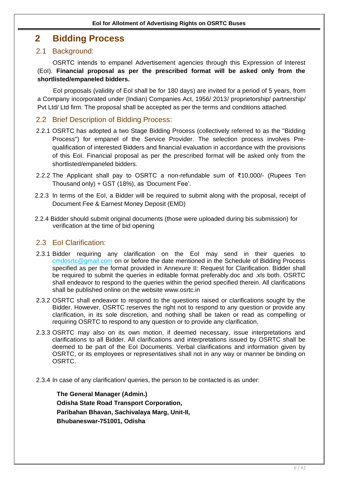#### <span id="page-5-0"></span>**2 Bidding Process**

#### <span id="page-5-1"></span>2.1 Background:

OSRTC intends to empanel Advertisement agencies through this Expression of Interest (EoI). **Financial proposal as per the prescribed format will be asked only from the shortlisted/empaneled bidders.**

EoI proposals (validity of EoI shall be for 180 days) are invited for a period of 5 years, from a Company incorporated under (Indian) Companies Act, 1956/ 2013/ proprietorship/ partnership/ Pvt Ltd/ Ltd firm. The proposal shall be accepted as per the terms and conditions attached.

#### <span id="page-5-2"></span>2.2 Brief Description of Bidding Process:

- 2.2.1 OSRTC has adopted a two Stage Bidding Process (collectively referred to as the "Bidding Process") for empanel of the Service Provider. The selection process involves Prequalification of interested Bidders and financial evaluation in accordance with the provisions of this EoI. Financial proposal as per the prescribed format will be asked only from the shortlisted/empaneled bidders.
- 2.2.2 The Applicant shall pay to OSRTC a non-refundable sum of ₹10,000/- (Rupees Ten Thousand only) + GST (18%), as 'Document Fee'.
- 2.2.3 In terms of the EoI, a Bidder will be required to submit along with the proposal, receipt of Document Fee & Earnest Money Deposit (EMD)
- 2.2.4 Bidder should submit original documents (those were uploaded during bis submission) for verification at the time of bid opening

#### <span id="page-5-3"></span>2.3 EoI Clarification:

- 2.3.1 Bidder requiring any clarification on the EoI may send in their queries to [cmdosrtc@gmail.com](mailto:cmdosrtc@gmail.com) on or before the date mentioned in the Schedule of Bidding Process specified as per the format provided in Annexure II: Request for Clarification. Bidder shall be required to submit the queries in editable format preferably.doc and .xls both. OSRTC shall endeavor to respond to the queries within the period specified therein. All clarifications shall be published online on the website www.osrtc.in
- 2.3.2 OSRTC shall endeavor to respond to the questions raised or clarifications sought by the Bidder. However, OSRTC reserves the right not to respond to any question or provide any clarification, in its sole discretion, and nothing shall be taken or read as compelling or requiring OSRTC to respond to any question or to provide any clarification.
- 2.3.3 OSRTC may also on its own motion, if deemed necessary, issue interpretations and clarifications to all Bidder. All clarifications and interpretations issued by OSRTC shall be deemed to be part of the EoI Documents. Verbal clarifications and information given by OSRTC, or its employees or representatives shall not in any way or manner be binding on OSRTC.
- 2.3.4 In case of any clarification/ queries, the person to be contacted is as under:

**The General Manager (Admin.) Odisha State Road Transport Corporation, Paribahan Bhavan, Sachivalaya Marg, Unit-II, Bhubaneswar-751001, Odisha**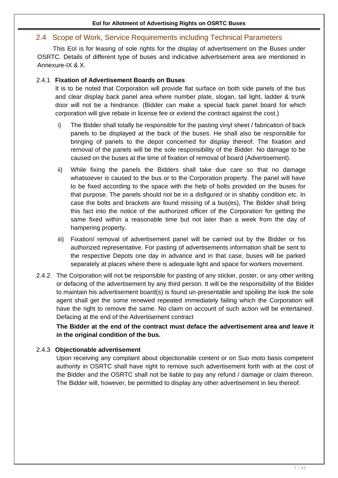#### <span id="page-6-0"></span>2.4 Scope of Work, Service Requirements including Technical Parameters

This EoI is for leasing of sole rights for the display of advertisement on the Buses under OSRTC. Details of different type of buses and indicative advertisement area are mentioned in Annexure-IX & X.

#### 2.4.1 **Fixation of Advertisement Boards on Buses**

It is to be noted that Corporation will provide flat surface on both side panels of the bus and clear display back panel area where number plate, slogan, tail light, ladder & trunk door will not be a hindrance. (Bidder can make a special back panel board for which corporation will give rebate in license fee or extend the contract against the cost.)

- i) The Bidder shall totally be responsible for the pasting vinyl sheet / fabrication of back panels to be displayed at the back of the buses. He shall also be responsible for bringing of panels to the depot concerned for display thereof. The fixation and removal of the panels will be the sole responsibility of the Bidder. No damage to be caused on the buses at the time of fixation of removal of board (Advertisement).
- ii) While fixing the panels the Bidders shall take due care so that no damage whatsoever is caused to the bus or to the Corporation property. The panel will have to be fixed according to the space with the help of bolts provided on the buses for that purpose. The panels should not be in a disfigured or in shabby condition etc. In case the bolts and brackets are found missing of a bus(es), The Bidder shall bring this fact into the notice of the authorized officer of the Corporation for getting the same fixed within a reasonable time but not later than a week from the day of hampering property.
- iii) Fixation/ removal of advertisement panel will be carried out by the Bidder or his authorized representative. For pasting of advertisements information shall be sent to the respective Depots one day in advance and in that case, buses will be parked separately at places where there is adequate light and space for workers movement.
- 2.4.2 The Corporation will not be responsible for pasting of any sticker, poster, or any other writing or defacing of the advertisement by any third person. It will be the responsibility of the Bidder to maintain his advertisement board(s) is found un-presentable and spoiling the look the sole agent shall get the some renewed repeated immediately failing which the Corporation will have the right to remove the same. No claim on account of such action will be entertained. Defacing at the end of the Advertisement contract

**The Bidder at the end of the contract must deface the advertisement area and leave it in the original condition of the bus.**

#### 2.4.3 **Objectionable advertisement**

Upon receiving any complaint about objectionable content or on Suo moto basis competent authority in OSRTC shall have right to remove such advertisement forth with at the cost of the Bidder and the OSRTC shall not be liable to pay any refund / damage or claim thereon. The Bidder will, however, be permitted to display any other advertisement in lieu thereof.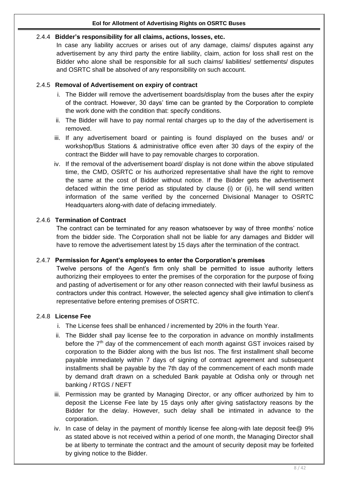#### 2.4.4 **Bidder's responsibility for all claims, actions, losses, etc.**

In case any liability accrues or arises out of any damage, claims/ disputes against any advertisement by any third party the entire liability, claim, action for loss shall rest on the Bidder who alone shall be responsible for all such claims/ liabilities/ settlements/ disputes and OSRTC shall be absolved of any responsibility on such account.

#### 2.4.5 **Removal of Advertisement on expiry of contract**

- i. The Bidder will remove the advertisement boards/display from the buses after the expiry of the contract. However, 30 days' time can be granted by the Corporation to complete the work done with the condition that: specify conditions.
- ii. The Bidder will have to pay normal rental charges up to the day of the advertisement is removed.
- iii. If any advertisement board or painting is found displayed on the buses and/ or workshop/Bus Stations & administrative office even after 30 days of the expiry of the contract the Bidder will have to pay removable charges to corporation.
- iv. If the removal of the advertisement board/ display is not done within the above stipulated time, the CMD, OSRTC or his authorized representative shall have the right to remove the same at the cost of Bidder without notice. If the Bidder gets the advertisement defaced within the time period as stipulated by clause (i) or (ii), he will send written information of the same verified by the concerned Divisional Manager to OSRTC Headquarters along-with date of defacing immediately.

#### 2.4.6 **Termination of Contract**

The contract can be terminated for any reason whatsoever by way of three months' notice from the bidder side. The Corporation shall not be liable for any damages and Bidder will have to remove the advertisement latest by 15 days after the termination of the contract.

#### 2.4.7 **Permission for Agent's employees to enter the Corporation's premises**

Twelve persons of the Agent's firm only shall be permitted to issue authority letters authorizing their employees to enter the premises of the corporation for the purpose of fixing and pasting of advertisement or for any other reason connected with their lawful business as contractors under this contract. However, the selected agency shall give intimation to client's representative before entering premises of OSRTC.

#### 2.4.8 **License Fee**

- i. The License fees shall be enhanced / incremented by 20% in the fourth Year.
- ii. The Bidder shall pay license fee to the corporation in advance on monthly installments before the  $7<sup>th</sup>$  day of the commencement of each month against GST invoices raised by corporation to the Bidder along with the bus list nos. The first installment shall become payable immediately within 7 days of signing of contract agreement and subsequent installments shall be payable by the 7th day of the commencement of each month made by demand draft drawn on a scheduled Bank payable at Odisha only or through net banking / RTGS / NEFT
- iii. Permission may be granted by Managing Director, or any officer authorized by him to deposit the License Fee late by 15 days only after giving satisfactory reasons by the Bidder for the delay. However, such delay shall be intimated in advance to the corporation.
- iv. In case of delay in the payment of monthly license fee along-with late deposit fee@ 9% as stated above is not received within a period of one month, the Managing Director shall be at liberty to terminate the contract and the amount of security deposit may be forfeited by giving notice to the Bidder.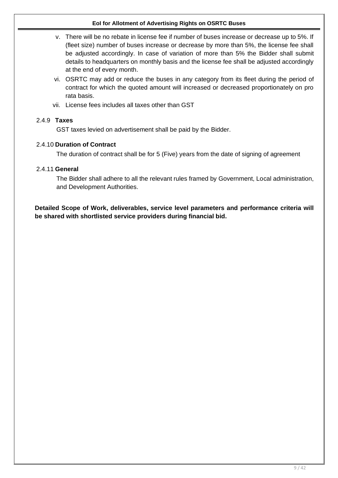- v. There will be no rebate in license fee if number of buses increase or decrease up to 5%. If (fleet size) number of buses increase or decrease by more than 5%, the license fee shall be adjusted accordingly. In case of variation of more than 5% the Bidder shall submit details to headquarters on monthly basis and the license fee shall be adjusted accordingly at the end of every month.
- vi. OSRTC may add or reduce the buses in any category from its fleet during the period of contract for which the quoted amount will increased or decreased proportionately on pro rata basis.
- vii. License fees includes all taxes other than GST

#### 2.4.9 **Taxes**

GST taxes levied on advertisement shall be paid by the Bidder.

#### 2.4.10 **Duration of Contract**

The duration of contract shall be for 5 (Five) years from the date of signing of agreement

#### 2.4.11 **General**

The Bidder shall adhere to all the relevant rules framed by Government, Local administration, and Development Authorities.

**Detailed Scope of Work, deliverables, service level parameters and performance criteria will be shared with shortlisted service providers during financial bid.**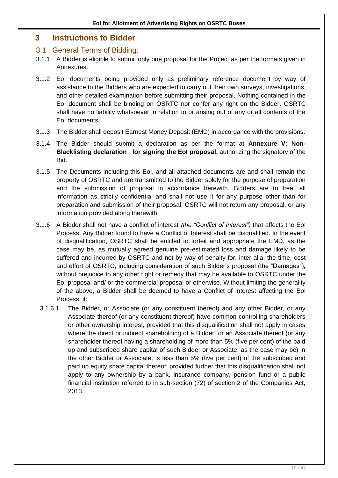#### <span id="page-9-0"></span>**3 Instructions to Bidder**

#### <span id="page-9-1"></span>3.1 General Terms of Bidding:

- 3.1.1 A Bidder is eligible to submit only one proposal for the Project as per the formats given in Annexures.
- 3.1.2 EoI documents being provided only as preliminary reference document by way of assistance to the Bidders who are expected to carry out their own surveys, investigations, and other detailed examination before submitting their proposal. Nothing contained in the EoI document shall be binding on OSRTC nor confer any right on the Bidder. OSRTC shall have no liability whatsoever in relation to or arising out of any or all contents of the EoI documents.
- 3.1.3 The Bidder shall deposit Earnest Money Deposit (EMD) in accordance with the provisions.
- 3.1.4 The Bidder should submit a declaration as per the format at **Annexure V: Non-Blacklisting declaration for signing the EoI proposal,** authorizing the signatory of the Bid.
- 3.1.5 The Documents including this EoI, and all attached documents are and shall remain the property of OSRTC and are transmitted to the Bidder solely for the purpose of preparation and the submission of proposal in accordance herewith. Bidders are to treat all information as strictly confidential and shall not use it for any purpose other than for preparation and submission of their proposal. OSRTC will not return any proposal, or any information provided along therewith.
- 3.1.6 A Bidder shall not have a conflict of interest *(the "Conflict of Interest")* that affects the EoI Process. Any Bidder found to have a Conflict of Interest shall be disqualified. In the event of disqualification, OSRTC shall be entitled to forfeit and appropriate the EMD, as the case may be, as mutually agreed genuine pre-estimated loss and damage likely to be suffered and incurred by OSRTC and not by way of penalty for, inter alia, the time, cost and effort of OSRTC, including consideration of such Bidder's proposal (the "Damages"), without prejudice to any other right or remedy that may be available to OSRTC under the EoI proposal and/ or the commercial proposal or otherwise. Without limiting the generality of the above, a Bidder shall be deemed to have a Conflict of Interest affecting the EoI Process, if:
- 3.1.6.1 The Bidder, or Associate (or any constituent thereof) and any other Bidder, or any Associate thereof (or any constituent thereof) have common controlling shareholders or other ownership interest; provided that this disqualification shall not apply in cases where the direct or indirect shareholding of a Bidder, or an Associate thereof (or any shareholder thereof having a shareholding of more than 5% (five per cent) of the paid up and subscribed share capital of such Bidder or Associate, as the case may be) in the other Bidder or Associate, is less than 5% (five per cent) of the subscribed and paid up equity share capital thereof; provided further that this disqualification shall not apply to any ownership by a bank, insurance company, pension fund or a public financial institution referred to in sub-section (72) of section 2 of the Companies Act, 2013.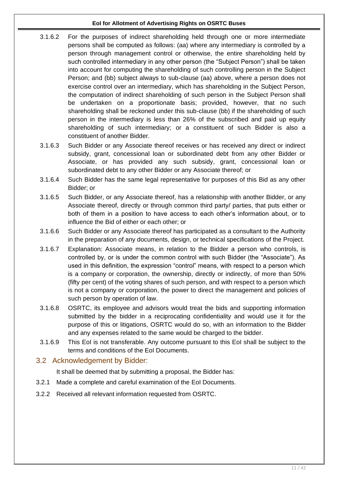- 3.1.6.2 For the purposes of indirect shareholding held through one or more intermediate persons shall be computed as follows: (aa) where any intermediary is controlled by a person through management control or otherwise, the entire shareholding held by such controlled intermediary in any other person (the "Subject Person") shall be taken into account for computing the shareholding of such controlling person in the Subject Person; and (bb) subject always to sub-clause (aa) above, where a person does not exercise control over an intermediary, which has shareholding in the Subject Person, the computation of indirect shareholding of such person in the Subject Person shall be undertaken on a proportionate basis; provided, however, that no such shareholding shall be reckoned under this sub-clause (bb) if the shareholding of such person in the intermediary is less than 26% of the subscribed and paid up equity shareholding of such intermediary; or a constituent of such Bidder is also a constituent of another Bidder.
- 3.1.6.3 Such Bidder or any Associate thereof receives or has received any direct or indirect subsidy, grant, concessional loan or subordinated debt from any other Bidder or Associate, or has provided any such subsidy, grant, concessional loan or subordinated debt to any other Bidder or any Associate thereof; or
- 3.1.6.4 Such Bidder has the same legal representative for purposes of this Bid as any other Bidder; or
- 3.1.6.5 Such Bidder, or any Associate thereof, has a relationship with another Bidder, or any Associate thereof, directly or through common third party/ parties, that puts either or both of them in a position to have access to each other's information about, or to influence the Bid of either or each other; or
- 3.1.6.6 Such Bidder or any Associate thereof has participated as a consultant to the Authority in the preparation of any documents, design, or technical specifications of the Project.
- 3.1.6.7 Explanation: Associate means, in relation to the Bidder a person who controls, is controlled by, or is under the common control with such Bidder (the "Associate"). As used in this definition, the expression "control" means, with respect to a person which is a company or corporation, the ownership, directly or indirectly, of more than 50% (fifty per cent) of the voting shares of such person, and with respect to a person which is not a company or corporation, the power to direct the management and policies of such person by operation of law.
- 3.1.6.8 OSRTC, its employee and advisors would treat the bids and supporting information submitted by the bidder in a reciprocating confidentiality and would use it for the purpose of this or litigations, OSRTC would do so, with an information to the Bidder and any expenses related to the same would be charged to the bidder.
- 3.1.6.9 This EoI is not transferable. Any outcome pursuant to this EoI shall be subject to the terms and conditions of the EoI Documents.

#### <span id="page-10-0"></span>3.2 Acknowledgement by Bidder:

It shall be deemed that by submitting a proposal, the Bidder has:

- 3.2.1 Made a complete and careful examination of the EoI Documents.
- 3.2.2 Received all relevant information requested from OSRTC.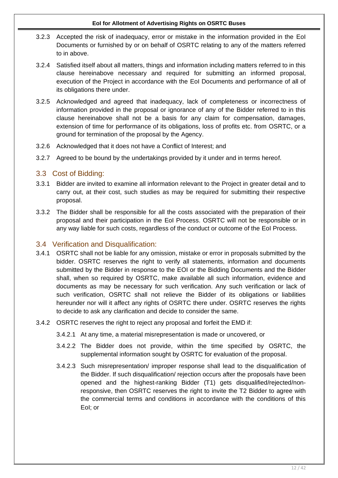- 3.2.3 Accepted the risk of inadequacy, error or mistake in the information provided in the EoI Documents or furnished by or on behalf of OSRTC relating to any of the matters referred to in above.
- 3.2.4 Satisfied itself about all matters, things and information including matters referred to in this clause hereinabove necessary and required for submitting an informed proposal, execution of the Project in accordance with the EoI Documents and performance of all of its obligations there under.
- 3.2.5 Acknowledged and agreed that inadequacy, lack of completeness or incorrectness of information provided in the proposal or ignorance of any of the Bidder referred to in this clause hereinabove shall not be a basis for any claim for compensation, damages, extension of time for performance of its obligations, loss of profits etc. from OSRTC, or a ground for termination of the proposal by the Agency.
- 3.2.6 Acknowledged that it does not have a Conflict of Interest; and
- 3.2.7 Agreed to be bound by the undertakings provided by it under and in terms hereof.

#### <span id="page-11-0"></span>3.3 Cost of Bidding:

- 3.3.1 Bidder are invited to examine all information relevant to the Project in greater detail and to carry out, at their cost, such studies as may be required for submitting their respective proposal.
- 3.3.2 The Bidder shall be responsible for all the costs associated with the preparation of their proposal and their participation in the EoI Process. OSRTC will not be responsible or in any way liable for such costs, regardless of the conduct or outcome of the EoI Process.

#### <span id="page-11-1"></span>3.4 Verification and Disqualification:

- 3.4.1 OSRTC shall not be liable for any omission, mistake or error in proposals submitted by the bidder. OSRTC reserves the right to verify all statements, information and documents submitted by the Bidder in response to the EOI or the Bidding Documents and the Bidder shall, when so required by OSRTC, make available all such information, evidence and documents as may be necessary for such verification. Any such verification or lack of such verification, OSRTC shall not relieve the Bidder of its obligations or liabilities hereunder nor will it affect any rights of OSRTC there under. OSRTC reserves the rights to decide to ask any clarification and decide to consider the same.
- 3.4.2 OSRTC reserves the right to reject any proposal and forfeit the EMD if:
	- 3.4.2.1 At any time, a material misrepresentation is made or uncovered, or
	- 3.4.2.2 The Bidder does not provide, within the time specified by OSRTC, the supplemental information sought by OSRTC for evaluation of the proposal.
	- 3.4.2.3 Such misrepresentation/ improper response shall lead to the disqualification of the Bidder. If such disqualification/ rejection occurs after the proposals have been opened and the highest-ranking Bidder (T1) gets disqualified/rejected/nonresponsive, then OSRTC reserves the right to invite the T2 Bidder to agree with the commercial terms and conditions in accordance with the conditions of this EoI; or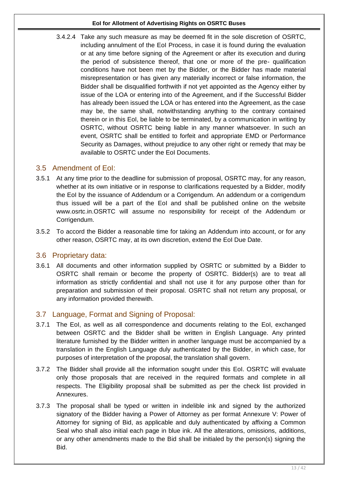3.4.2.4 Take any such measure as may be deemed fit in the sole discretion of OSRTC, including annulment of the EoI Process, in case it is found during the evaluation or at any time before signing of the Agreement or after its execution and during the period of subsistence thereof, that one or more of the pre- qualification conditions have not been met by the Bidder, or the Bidder has made material misrepresentation or has given any materially incorrect or false information, the Bidder shall be disqualified forthwith if not yet appointed as the Agency either by issue of the LOA or entering into of the Agreement, and if the Successful Bidder has already been issued the LOA or has entered into the Agreement, as the case may be, the same shall, notwithstanding anything to the contrary contained therein or in this EoI, be liable to be terminated, by a communication in writing by OSRTC, without OSRTC being liable in any manner whatsoever. In such an event, OSRTC shall be entitled to forfeit and appropriate EMD or Performance Security as Damages, without prejudice to any other right or remedy that may be available to OSRTC under the EoI Documents.

#### <span id="page-12-0"></span>3.5 Amendment of EoI:

- 3.5.1 At any time prior to the deadline for submission of proposal, OSRTC may, for any reason, whether at its own initiative or in response to clarifications requested by a Bidder, modify the EoI by the issuance of Addendum or a Corrigendum. An addendum or a corrigendum thus issued will be a part of the EoI and shall be published online on the website [www.osrtc.in.O](http://www.osrtc.in./)SRTC will assume no responsibility for receipt of the Addendum or Corrigendum.
- 3.5.2 To accord the Bidder a reasonable time for taking an Addendum into account, or for any other reason, OSRTC may, at its own discretion, extend the EoI Due Date.

#### <span id="page-12-1"></span>3.6 Proprietary data:

3.6.1 All documents and other information supplied by OSRTC or submitted by a Bidder to OSRTC shall remain or become the property of OSRTC. Bidder(s) are to treat all information as strictly confidential and shall not use it for any purpose other than for preparation and submission of their proposal. OSRTC shall not return any proposal, or any information provided therewith.

#### <span id="page-12-2"></span>3.7 Language, Format and Signing of Proposal:

- 3.7.1 The EoI, as well as all correspondence and documents relating to the EoI, exchanged between OSRTC and the Bidder shall be written in English Language. Any printed literature furnished by the Bidder written in another language must be accompanied by a translation in the English Language duly authenticated by the Bidder, in which case, for purposes of interpretation of the proposal, the translation shall govern.
- 3.7.2 The Bidder shall provide all the information sought under this EoI. OSRTC will evaluate only those proposals that are received in the required formats and complete in all respects. The Eligibility proposal shall be submitted as per the check list provided in Annexures.
- 3.7.3 The proposal shall be typed or written in indelible ink and signed by the authorized signatory of the Bidder having a Power of Attorney as per format Annexure V: Power of Attorney for signing of Bid, as applicable and duly authenticated by affixing a Common Seal who shall also initial each page in blue ink. All the alterations, omissions, additions, or any other amendments made to the Bid shall be initialed by the person(s) signing the Bid.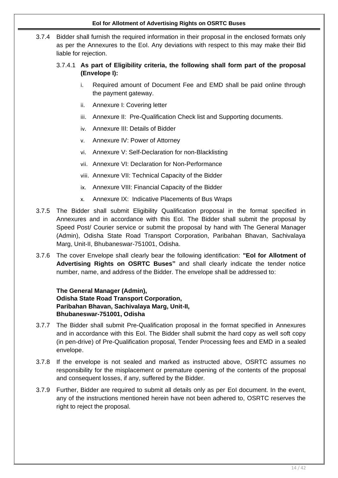3.7.4 Bidder shall furnish the required information in their proposal in the enclosed formats only as per the Annexures to the EoI. Any deviations with respect to this may make their Bid liable for rejection.

#### 3.7.4.1 **As part of Eligibility criteria, the following shall form part of the proposal (Envelope I):**

- i. Required amount of Document Fee and EMD shall be paid online through the payment gateway.
- ii. Annexure I: Covering letter
- iii. Annexure II: Pre-Qualification Check list and Supporting documents.
- iv. Annexure III: Details of Bidder
- v. Annexure IV: Power of Attorney
- vi. Annexure V: Self-Declaration for non-Blacklisting
- vii. Annexure VI: Declaration for Non-Performance
- viii. Annexure VII: Technical Capacity of the Bidder
- ix. Annexure VIII: Financial Capacity of the Bidder
- x. Annexure IX: Indicative Placements of Bus Wraps
- 3.7.5 The Bidder shall submit Eligibility Qualification proposal in the format specified in Annexures and in accordance with this EoI. The Bidder shall submit the proposal by Speed Post/ Courier service or submit the proposal by hand with The General Manager (Admin), Odisha State Road Transport Corporation, Paribahan Bhavan, Sachivalaya Marg, Unit-II, Bhubaneswar-751001, Odisha.
- 3.7.6 The cover Envelope shall clearly bear the following identification: **"EoI for Allotment of Advertising Rights on OSRTC Buses"** and shall clearly indicate the tender notice number, name, and address of the Bidder. The envelope shall be addressed to:

#### **The General Manager (Admin), Odisha State Road Transport Corporation, Paribahan Bhavan, Sachivalaya Marg, Unit-II, Bhubaneswar-751001, Odisha**

- 3.7.7 The Bidder shall submit Pre-Qualification proposal in the format specified in Annexures and in accordance with this EoI. The Bidder shall submit the hard copy as well soft copy (in pen-drive) of Pre-Qualification proposal, Tender Processing fees and EMD in a sealed envelope.
- 3.7.8 If the envelope is not sealed and marked as instructed above, OSRTC assumes no responsibility for the misplacement or premature opening of the contents of the proposal and consequent losses, if any, suffered by the Bidder.
- 3.7.9 Further, Bidder are required to submit all details only as per EoI document. In the event, any of the instructions mentioned herein have not been adhered to, OSRTC reserves the right to reject the proposal.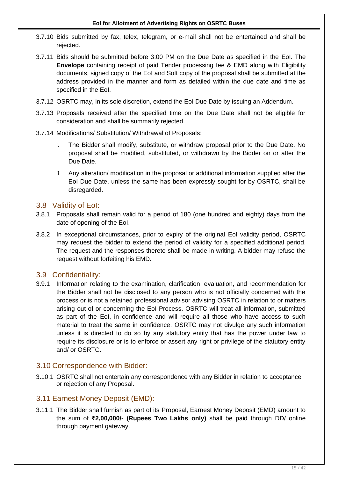- 3.7.10 Bids submitted by fax, telex, telegram, or e-mail shall not be entertained and shall be rejected.
- 3.7.11 Bids should be submitted before 3:00 PM on the Due Date as specified in the EoI. The **Envelope** containing receipt of paid Tender processing fee & EMD along with Eligibility documents, signed copy of the EoI and Soft copy of the proposal shall be submitted at the address provided in the manner and form as detailed within the due date and time as specified in the EoI.
- 3.7.12 OSRTC may, in its sole discretion, extend the EoI Due Date by issuing an Addendum.
- 3.7.13 Proposals received after the specified time on the Due Date shall not be eligible for consideration and shall be summarily rejected.
- 3.7.14 Modifications/ Substitution/ Withdrawal of Proposals:
	- i. The Bidder shall modify, substitute, or withdraw proposal prior to the Due Date. No proposal shall be modified, substituted, or withdrawn by the Bidder on or after the Due Date.
	- ii. Any alteration/ modification in the proposal or additional information supplied after the EoI Due Date, unless the same has been expressly sought for by OSRTC, shall be disregarded.

#### <span id="page-14-0"></span>3.8 Validity of EoI:

- 3.8.1 Proposals shall remain valid for a period of 180 (one hundred and eighty) days from the date of opening of the EoI.
- 3.8.2 In exceptional circumstances, prior to expiry of the original EoI validity period, OSRTC may request the bidder to extend the period of validity for a specified additional period. The request and the responses thereto shall be made in writing. A bidder may refuse the request without forfeiting his EMD.

#### <span id="page-14-1"></span>3.9 Confidentiality:

3.9.1 Information relating to the examination, clarification, evaluation, and recommendation for the Bidder shall not be disclosed to any person who is not officially concerned with the process or is not a retained professional advisor advising OSRTC in relation to or matters arising out of or concerning the EoI Process. OSRTC will treat all information, submitted as part of the EoI, in confidence and will require all those who have access to such material to treat the same in confidence. OSRTC may not divulge any such information unless it is directed to do so by any statutory entity that has the power under law to require its disclosure or is to enforce or assert any right or privilege of the statutory entity and/ or OSRTC.

#### <span id="page-14-2"></span>3.10 Correspondence with Bidder:

3.10.1 OSRTC shall not entertain any correspondence with any Bidder in relation to acceptance or rejection of any Proposal.

#### <span id="page-14-3"></span>3.11 Earnest Money Deposit (EMD):

3.11.1 The Bidder shall furnish as part of its Proposal, Earnest Money Deposit (EMD) amount to the sum of **₹2,00,000/- (Rupees Two Lakhs only)** shall be paid through DD/ online through payment gateway.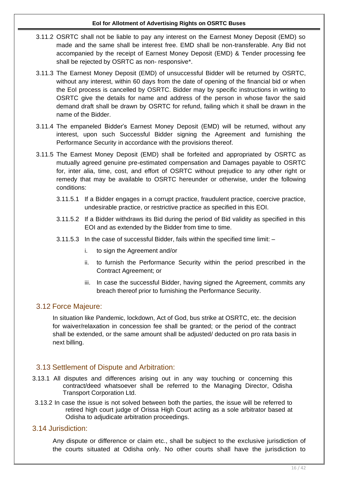- 3.11.2 OSRTC shall not be liable to pay any interest on the Earnest Money Deposit (EMD) so made and the same shall be interest free. EMD shall be non-transferable. Any Bid not accompanied by the receipt of Earnest Money Deposit (EMD) & Tender processing fee shall be rejected by OSRTC as non- responsive\*.
- 3.11.3 The Earnest Money Deposit (EMD) of unsuccessful Bidder will be returned by OSRTC, without any interest, within 60 days from the date of opening of the financial bid or when the EoI process is cancelled by OSRTC. Bidder may by specific instructions in writing to OSRTC give the details for name and address of the person in whose favor the said demand draft shall be drawn by OSRTC for refund, failing which it shall be drawn in the name of the Bidder.
- 3.11.4 The empaneled Bidder's Earnest Money Deposit (EMD) will be returned, without any interest, upon such Successful Bidder signing the Agreement and furnishing the Performance Security in accordance with the provisions thereof.
- 3.11.5 The Earnest Money Deposit (EMD) shall be forfeited and appropriated by OSRTC as mutually agreed genuine pre-estimated compensation and Damages payable to OSRTC for, inter alia, time, cost, and effort of OSRTC without prejudice to any other right or remedy that may be available to OSRTC hereunder or otherwise, under the following conditions:
	- 3.11.5.1 If a Bidder engages in a corrupt practice, fraudulent practice, coercive practice, undesirable practice, or restrictive practice as specified in this EOI.
	- 3.11.5.2 If a Bidder withdraws its Bid during the period of Bid validity as specified in this EOI and as extended by the Bidder from time to time.
	- 3.11.5.3 In the case of successful Bidder, fails within the specified time limit:
		- i. to sign the Agreement and/or
		- ii. to furnish the Performance Security within the period prescribed in the Contract Agreement; or
		- iii. In case the successful Bidder, having signed the Agreement, commits any breach thereof prior to furnishing the Performance Security.

#### <span id="page-15-0"></span>3.12 Force Majeure:

In situation like Pandemic, lockdown, Act of God, bus strike at OSRTC, etc. the decision for waiver/relaxation in concession fee shall be granted; or the period of the contract shall be extended, or the same amount shall be adjusted/ deducted on pro rata basis in next billing.

#### <span id="page-15-1"></span>3.13 Settlement of Dispute and Arbitration:

- 3.13.1 All disputes and differences arising out in any way touching or concerning this contract/deed whatsoever shall be referred to the Managing Director, Odisha Transport Corporation Ltd.
- 3.13.2 In case the issue is not solved between both the parties, the issue will be referred to retired high court judge of Orissa High Court acting as a sole arbitrator based at Odisha to adjudicate arbitration proceedings.

#### 3.14 Jurisdiction:

Any dispute or difference or claim etc., shall be subject to the exclusive jurisdiction of the courts situated at Odisha only. No other courts shall have the jurisdiction to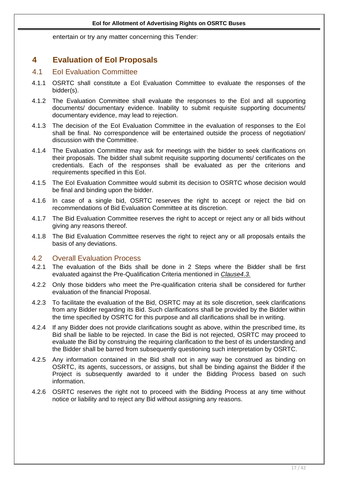entertain or try any matter concerning this Tender:

#### <span id="page-16-0"></span>**4 Evaluation of EoI Proposals**

#### <span id="page-16-1"></span>4.1 EoI Evaluation Committee

- 4.1.1 OSRTC shall constitute a EoI Evaluation Committee to evaluate the responses of the bidder(s).
- 4.1.2 The Evaluation Committee shall evaluate the responses to the EoI and all supporting documents/ documentary evidence. Inability to submit requisite supporting documents/ documentary evidence, may lead to rejection.
- 4.1.3 The decision of the EoI Evaluation Committee in the evaluation of responses to the EoI shall be final. No correspondence will be entertained outside the process of negotiation/ discussion with the Committee.
- 4.1.4 The Evaluation Committee may ask for meetings with the bidder to seek clarifications on their proposals. The bidder shall submit requisite supporting documents/ certificates on the credentials. Each of the responses shall be evaluated as per the criterions and requirements specified in this EoI.
- 4.1.5 The EoI Evaluation Committee would submit its decision to OSRTC whose decision would be final and binding upon the bidder.
- 4.1.6 In case of a single bid, OSRTC reserves the right to accept or reject the bid on recommendations of Bid Evaluation Committee at its discretion.
- 4.1.7 The Bid Evaluation Committee reserves the right to accept or reject any or all bids without giving any reasons thereof.
- 4.1.8 The Bid Evaluation Committee reserves the right to reject any or all proposals entails the basis of any deviations.

#### <span id="page-16-2"></span>4.2 Overall Evaluation Process

- 4.2.1 The evaluation of the Bids shall be done in 2 Steps where the Bidder shall be first evaluated against the Pre-Qualification Criteria mentioned in *Clause4.3.*
- 4.2.2 Only those bidders who meet the Pre-qualification criteria shall be considered for further evaluation of the financial Proposal.
- 4.2.3 To facilitate the evaluation of the Bid, OSRTC may at its sole discretion, seek clarifications from any Bidder regarding its Bid. Such clarifications shall be provided by the Bidder within the time specified by OSRTC for this purpose and all clarifications shall be in writing.
- 4.2.4 If any Bidder does not provide clarifications sought as above, within the prescribed time, its Bid shall be liable to be rejected. In case the Bid is not rejected, OSRTC may proceed to evaluate the Bid by construing the requiring clarification to the best of its understanding and the Bidder shall be barred from subsequently questioning such interpretation by OSRTC.
- 4.2.5 Any information contained in the Bid shall not in any way be construed as binding on OSRTC, its agents, successors, or assigns, but shall be binding against the Bidder if the Project is subsequently awarded to it under the Bidding Process based on such information.
- 4.2.6 OSRTC reserves the right not to proceed with the Bidding Process at any time without notice or liability and to reject any Bid without assigning any reasons.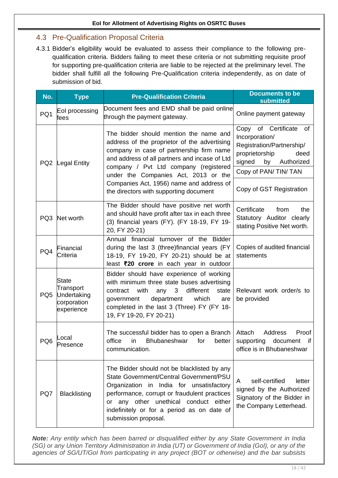#### <span id="page-17-0"></span>4.3 Pre-Qualification Proposal Criteria

4.3.1 Bidder's eligibility would be evaluated to assess their compliance to the following prequalification criteria. Bidders failing to meet these criteria or not submitting requisite proof for supporting pre-qualification criteria are liable to be rejected at the preliminary level. The bidder shall fulfill all the following Pre-Qualification criteria independently, as on date of submission of bid.

| No.             | <b>Type</b>                                                           | <b>Pre-Qualification Criteria</b>                                                                                                                                                                                                                                                                    | <b>Documents to be</b><br>submitted                                                                                           |
|-----------------|-----------------------------------------------------------------------|------------------------------------------------------------------------------------------------------------------------------------------------------------------------------------------------------------------------------------------------------------------------------------------------------|-------------------------------------------------------------------------------------------------------------------------------|
| PQ1             | Eol processing<br>fees                                                | Document fees and EMD shall be paid online<br>through the payment gateway.                                                                                                                                                                                                                           | Online payment gateway                                                                                                        |
| PQ <sub>2</sub> | <b>Legal Entity</b>                                                   | The bidder should mention the name and<br>address of the proprietor of the advertising<br>company in case of partnership firm name<br>and address of all partners and incase of Ltd<br>company / Pvt Ltd company (registered                                                                         | Copy of Certificate of<br>Incorporation/<br>Registration/Partnership/<br>proprietorship<br>deed<br>signed<br>Authorized<br>by |
|                 |                                                                       | under the Companies Act, 2013 or the<br>Companies Act, 1956) name and address of                                                                                                                                                                                                                     | Copy of PAN/TIN/TAN                                                                                                           |
|                 |                                                                       | the directors with supporting document                                                                                                                                                                                                                                                               | Copy of GST Registration                                                                                                      |
| PQ3             | Net worth                                                             | The Bidder should have positive net worth<br>and should have profit after tax in each three<br>(3) financial years (FY). (FY 18-19, FY 19-<br>20, FY 20-21)                                                                                                                                          | Certificate<br>from<br>the<br>Statutory Auditor clearly<br>stating Positive Net worth.                                        |
| PQ4             | Financial<br>Criteria                                                 | Annual financial turnover of the Bidder<br>during the last 3 (three)financial years (FY<br>18-19, FY 19-20, FY 20-21) should be at<br>least ₹20 crore in each year in outdoor                                                                                                                        | Copies of audited financial<br>statements                                                                                     |
| PQ <sub>5</sub> | <b>State</b><br>Transport<br>Undertaking<br>corporation<br>experience | Bidder should have experience of working<br>with minimum three state buses advertising<br>different<br>contract<br>with<br>3 <sup>7</sup><br>any<br>state<br>department<br>which<br>government<br>are<br>completed in the last 3 (Three) FY (FY 18-<br>19, FY 19-20, FY 20-21)                       | Relevant work order/s to<br>be provided                                                                                       |
| PQ <sub>6</sub> | ∟ocal<br>Presence                                                     | The successful bidder has to open a Branch<br>office<br>Bhubaneshwar<br>for<br>better<br>in<br>communication.                                                                                                                                                                                        | <b>Address</b><br>Proof<br>Attach<br>supporting<br>document<br>if<br>office is in Bhubaneshwar                                |
| PQ7             | <b>Blacklisting</b>                                                   | The Bidder should not be blacklisted by any<br>State Government/Central Government/PSU<br>Organization in India for unsatisfactory<br>performance, corrupt or fraudulent practices<br>any other unethical conduct either<br>or<br>indefinitely or for a period as on date of<br>submission proposal. | self-certified<br>letter<br>A<br>signed by the Authorized<br>Signatory of the Bidder in<br>the Company Letterhead.            |

*Note: Any entity which has been barred or disqualified either by any State Government in India (SG) or any Union Territory Administration in India (UT) or Government of India (GoI), or any of the agencies of SG/UT/GoI from participating in any project (BOT or otherwise) and the bar subsists*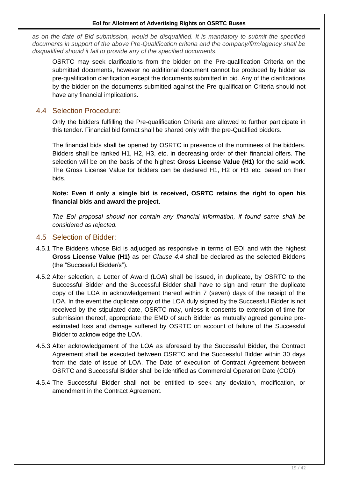as on the date of Bid submission, would be disqualified. It is mandatory to submit the specified *documents in support of the above Pre-Qualification criteria and the company/firm/agency shall be disqualified should it fail to provide any of the specified documents.*

OSRTC may seek clarifications from the bidder on the Pre-qualification Criteria on the submitted documents, however no additional document cannot be produced by bidder as pre-qualification clarification except the documents submitted in bid. Any of the clarifications by the bidder on the documents submitted against the Pre-qualification Criteria should not have any financial implications.

#### <span id="page-18-0"></span>4.4 Selection Procedure:

Only the bidders fulfilling the Pre-qualification Criteria are allowed to further participate in this tender. Financial bid format shall be shared only with the pre-Qualified bidders.

The financial bids shall be opened by OSRTC in presence of the nominees of the bidders. Bidders shall be ranked H1, H2, H3, etc. in decreasing order of their financial offers. The selection will be on the basis of the highest **Gross License Value (H1)** for the said work. The Gross License Value for bidders can be declared H1, H2 or H3 etc. based on their bids.

**Note: Even if only a single bid is received, OSRTC retains the right to open his financial bids and award the project.**

*The EoI proposal should not contain any financial information, if found same shall be considered as rejected.*

#### <span id="page-18-1"></span>4.5 Selection of Bidder:

- 4.5.1 The Bidder/s whose Bid is adjudged as responsive in terms of EOI and with the highest **Gross License Value (H1)** as per *Clause 4.4* shall be declared as the selected Bidder/s (the "Successful Bidder/s").
- 4.5.2 After selection, a Letter of Award (LOA) shall be issued, in duplicate, by OSRTC to the Successful Bidder and the Successful Bidder shall have to sign and return the duplicate copy of the LOA in acknowledgement thereof within 7 (seven) days of the receipt of the LOA. In the event the duplicate copy of the LOA duly signed by the Successful Bidder is not received by the stipulated date, OSRTC may, unless it consents to extension of time for submission thereof, appropriate the EMD of such Bidder as mutually agreed genuine preestimated loss and damage suffered by OSRTC on account of failure of the Successful Bidder to acknowledge the LOA.
- 4.5.3 After acknowledgement of the LOA as aforesaid by the Successful Bidder, the Contract Agreement shall be executed between OSRTC and the Successful Bidder within 30 days from the date of issue of LOA. The Date of execution of Contract Agreement between OSRTC and Successful Bidder shall be identified as Commercial Operation Date (COD).
- 4.5.4 The Successful Bidder shall not be entitled to seek any deviation, modification, or amendment in the Contract Agreement.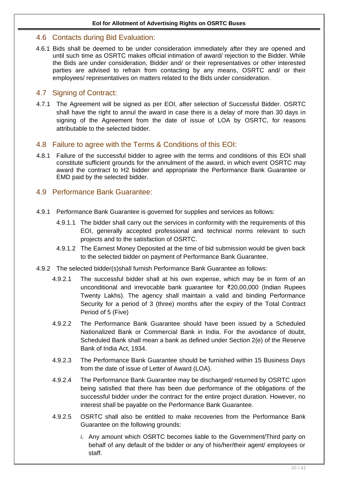#### <span id="page-19-0"></span>4.6 Contacts during Bid Evaluation:

4.6.1 Bids shall be deemed to be under consideration immediately after they are opened and until such time as OSRTC makes official intimation of award/ rejection to the Bidder. While the Bids are under consideration, Bidder and/ or their representatives or other interested parties are advised to refrain from contacting by any means, OSRTC and/ or their employees/ representatives on matters related to the Bids under consideration.

#### <span id="page-19-1"></span>4.7 Signing of Contract:

4.7.1 The Agreement will be signed as per EOI, after selection of Successful Bidder. OSRTC shall have the right to annul the award in case there is a delay of more than 30 days in signing of the Agreement from the date of issue of LOA by OSRTC, for reasons attributable to the selected bidder.

#### <span id="page-19-2"></span>4.8 Failure to agree with the Terms & Conditions of this EOI:

4.8.1 Failure of the successful bidder to agree with the terms and conditions of this EOI shall constitute sufficient grounds for the annulment of the award, in which event OSRTC may award the contract to H2 bidder and appropriate the Performance Bank Guarantee or EMD paid by the selected bidder.

#### <span id="page-19-3"></span>4.9 Performance Bank Guarantee:

- 4.9.1 Performance Bank Guarantee is governed for supplies and services as follows:
	- 4.9.1.1 The bidder shall carry out the services in conformity with the requirements of this EOI, generally accepted professional and technical norms relevant to such projects and to the satisfaction of OSRTC.
	- 4.9.1.2 The Earnest Money Deposited at the time of bid submission would be given back to the selected bidder on payment of Performance Bank Guarantee.
- 4.9.2 The selected bidder(s)shall furnish Performance Bank Guarantee as follows:
	- 4.9.2.1 The successful bidder shall at his own expense, which may be in form of an unconditional and irrevocable bank guarantee for ₹20,00,000 (Indian Rupees Twenty Lakhs). The agency shall maintain a valid and binding Performance Security for a period of 3 (three) months after the expiry of the Total Contract Period of 5 (Five)
	- 4.9.2.2 The Performance Bank Guarantee should have been issued by a Scheduled Nationalized Bank or Commercial Bank in India. For the avoidance of doubt, Scheduled Bank shall mean a bank as defined under Section 2(e) of the Reserve Bank of India Act, 1934.
	- 4.9.2.3 The Performance Bank Guarantee should be furnished within 15 Business Days from the date of issue of Letter of Award (LOA).
	- 4.9.2.4 The Performance Bank Guarantee may be discharged/ returned by OSRTC upon being satisfied that there has been due performance of the obligations of the successful bidder under the contract for the entire project duration. However, no interest shall be payable on the Performance Bank Guarantee.
	- 4.9.2.5 OSRTC shall also be entitled to make recoveries from the Performance Bank Guarantee on the following grounds:
		- i. Any amount which OSRTC becomes liable to the Government/Third party on behalf of any default of the bidder or any of his/her/their agent/ employees or staff.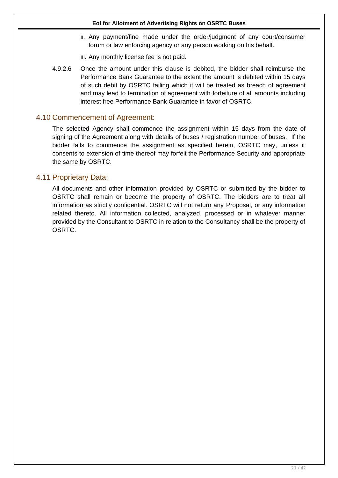- ii. Any payment/fine made under the order/judgment of any court/consumer forum or law enforcing agency or any person working on his behalf.
- iii. Any monthly license fee is not paid.
- 4.9.2.6 Once the amount under this clause is debited, the bidder shall reimburse the Performance Bank Guarantee to the extent the amount is debited within 15 days of such debit by OSRTC failing which it will be treated as breach of agreement and may lead to termination of agreement with forfeiture of all amounts including interest free Performance Bank Guarantee in favor of OSRTC.

#### <span id="page-20-0"></span>4.10 Commencement of Agreement:

The selected Agency shall commence the assignment within 15 days from the date of signing of the Agreement along with details of buses / registration number of buses. If the bidder fails to commence the assignment as specified herein, OSRTC may, unless it consents to extension of time thereof may forfeit the Performance Security and appropriate the same by OSRTC.

#### <span id="page-20-1"></span>4.11 Proprietary Data:

All documents and other information provided by OSRTC or submitted by the bidder to OSRTC shall remain or become the property of OSRTC. The bidders are to treat all information as strictly confidential. OSRTC will not return any Proposal, or any information related thereto. All information collected, analyzed, processed or in whatever manner provided by the Consultant to OSRTC in relation to the Consultancy shall be the property of OSRTC.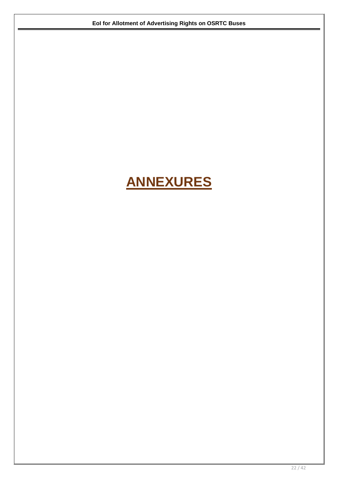# <span id="page-21-0"></span>**ANNEXURES**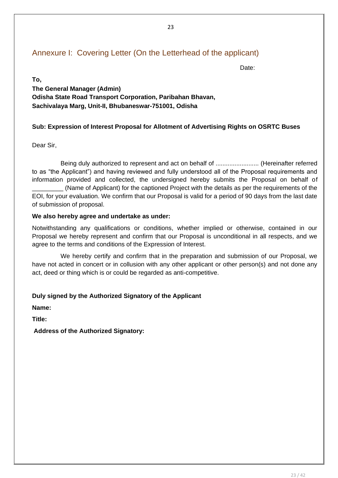#### <span id="page-22-0"></span>Annexure I: Covering Letter (On the Letterhead of the applicant)

discussion of the contract of the contract of the contract of the Date:

#### **To,**

#### **The General Manager (Admin) Odisha State Road Transport Corporation, Paribahan Bhavan, Sachivalaya Marg, Unit-II, Bhubaneswar-751001, Odisha**

#### **Sub: Expression of Interest Proposal for Allotment of Advertising Rights on OSRTC Buses**

#### Dear Sir,

Being duly authorized to represent and act on behalf of ......................... (Hereinafter referred to as "the Applicant") and having reviewed and fully understood all of the Proposal requirements and information provided and collected, the undersigned hereby submits the Proposal on behalf of

\_\_\_\_\_\_\_\_\_ (Name of Applicant) for the captioned Project with the details as per the requirements of the EOI, for your evaluation. We confirm that our Proposal is valid for a period of 90 days from the last date of submission of proposal.

#### **We also hereby agree and undertake as under:**

Notwithstanding any qualifications or conditions, whether implied or otherwise, contained in our Proposal we hereby represent and confirm that our Proposal is unconditional in all respects, and we agree to the terms and conditions of the Expression of Interest.

We hereby certify and confirm that in the preparation and submission of our Proposal, we have not acted in concert or in collusion with any other applicant or other person(s) and not done any act, deed or thing which is or could be regarded as anti-competitive.

#### **Duly signed by the Authorized Signatory of the Applicant**

**Name:** 

**Title:** 

**Address of the Authorized Signatory:**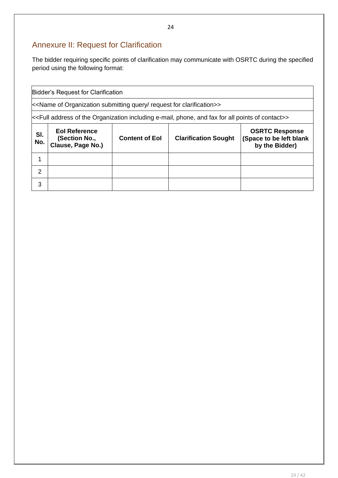### <span id="page-23-0"></span>Annexure II: Request for Clarification

The bidder requiring specific points of clarification may communicate with OSRTC during the specified period using the following format:

|                                                                                                                                                                                                        | Bidder's Request for Clarification                                                                  |  |                                                                                                     |  |  |  |  |
|--------------------------------------------------------------------------------------------------------------------------------------------------------------------------------------------------------|-----------------------------------------------------------------------------------------------------|--|-----------------------------------------------------------------------------------------------------|--|--|--|--|
|                                                                                                                                                                                                        | < <name clarification="" for="" of="" organization="" query="" request="" submitting="">&gt;</name> |  |                                                                                                     |  |  |  |  |
|                                                                                                                                                                                                        |                                                                                                     |  | $\le$ Full address of the Organization including e-mail, phone, and fax for all points of contact>> |  |  |  |  |
| <b>Eol Reference</b><br><b>OSRTC Response</b><br>SI.<br><b>Content of Eol</b><br>(Space to be left blank<br>(Section No.,<br><b>Clarification Sought</b><br>No.<br>Clause, Page No.)<br>by the Bidder) |                                                                                                     |  |                                                                                                     |  |  |  |  |
|                                                                                                                                                                                                        |                                                                                                     |  |                                                                                                     |  |  |  |  |
| 2                                                                                                                                                                                                      |                                                                                                     |  |                                                                                                     |  |  |  |  |
| 3                                                                                                                                                                                                      |                                                                                                     |  |                                                                                                     |  |  |  |  |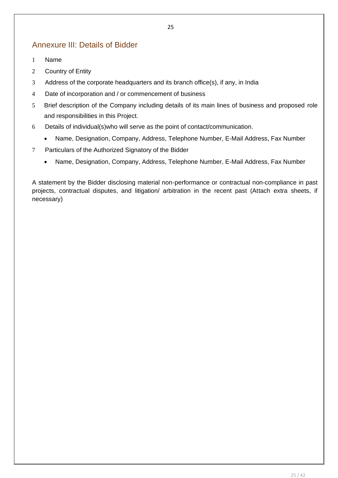#### <span id="page-24-0"></span>Annexure III: Details of Bidder

- 1 Name
- 2 Country of Entity
- 3 Address of the corporate headquarters and its branch office(s), if any, in India
- 4 Date of incorporation and / or commencement of business
- 5 Brief description of the Company including details of its main lines of business and proposed role and responsibilities in this Project.
- 6 Details of individual(s)who will serve as the point of contact/communication.
	- Name, Designation, Company, Address, Telephone Number, E-Mail Address, Fax Number
- 7 Particulars of the Authorized Signatory of the Bidder
	- Name, Designation, Company, Address, Telephone Number, E-Mail Address, Fax Number

A statement by the Bidder disclosing material non-performance or contractual non-compliance in past projects, contractual disputes, and litigation/ arbitration in the recent past (Attach extra sheets, if necessary)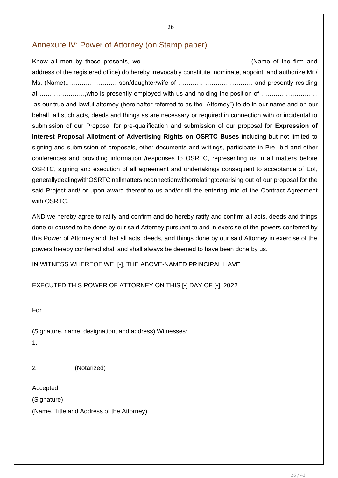### <span id="page-25-0"></span>Annexure IV: Power of Attorney (on Stamp paper)

Know all men by these presents, we……………………………………………. (Name of the firm and address of the registered office) do hereby irrevocably constitute, nominate, appoint, and authorize Mr./ Ms. (Name),…………………… son/daughter/wife of ……………………………… and presently residing at ………………….,who is presently employed with us and holding the position of ……………………… ,as our true and lawful attorney (hereinafter referred to as the "Attorney") to do in our name and on our behalf, all such acts, deeds and things as are necessary or required in connection with or incidental to submission of our Proposal for pre-qualification and submission of our proposal for **Expression of Interest Proposal Allotment of Advertising Rights on OSRTC Buses** including but not limited to signing and submission of proposals, other documents and writings, participate in Pre- bid and other conferences and providing information /responses to OSRTC, representing us in all matters before OSRTC, signing and execution of all agreement and undertakings consequent to acceptance of EoI, generallydealingwithOSRTCinallmattersinconnectionwithorrelatingtoorarising out of our proposal for the said Project and/ or upon award thereof to us and/or till the entering into of the Contract Agreement with OSRTC.

AND we hereby agree to ratify and confirm and do hereby ratify and confirm all acts, deeds and things done or caused to be done by our said Attorney pursuant to and in exercise of the powers conferred by this Power of Attorney and that all acts, deeds, and things done by our said Attorney in exercise of the powers hereby conferred shall and shall always be deemed to have been done by us.

IN WITNESS WHEREOF WE, [•], THE ABOVE-NAMED PRINCIPAL HAVE

#### EXECUTED THIS POWER OF ATTORNEY ON THIS [•] DAY OF [•], 2022

For

(Signature, name, designation, and address) Witnesses:

1.

2. (Notarized)

Accepted

(Signature)

(Name, Title and Address of the Attorney)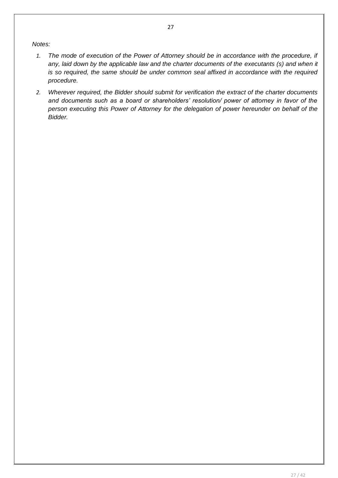*Notes:*

- *1. The mode of execution of the Power of Attorney should be in accordance with the procedure, if*  any, laid down by the applicable law and the charter documents of the executants (s) and when it *is so required, the same should be under common seal affixed in accordance with the required procedure.*
- *2. Wherever required, the Bidder should submit for verification the extract of the charter documents and documents such as a board or shareholders' resolution/ power of attorney in favor of the person executing this Power of Attorney for the delegation of power hereunder on behalf of the Bidder.*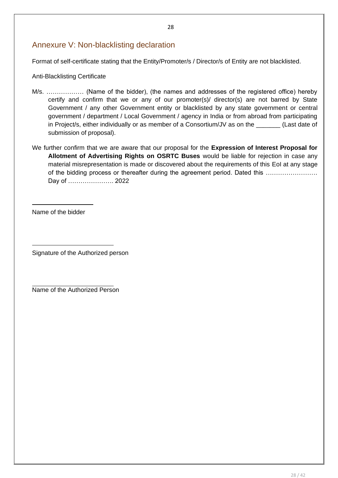#### <span id="page-27-0"></span>Annexure V: Non-blacklisting declaration

Format of self-certificate stating that the Entity/Promoter/s / Director/s of Entity are not blacklisted.

28

Anti-Blacklisting Certificate

- M/s. ……………… (Name of the bidder), (the names and addresses of the registered office) hereby certify and confirm that we or any of our promoter(s)/ director(s) are not barred by State Government / any other Government entity or blacklisted by any state government or central government / department / Local Government / agency in India or from abroad from participating in Project/s, either individually or as member of a Consortium/JV as on the  $($ Last date of submission of proposal).
- We further confirm that we are aware that our proposal for the **Expression of Interest Proposal for Allotment of Advertising Rights on OSRTC Buses** would be liable for rejection in case any material misrepresentation is made or discovered about the requirements of this EoI at any stage of the bidding process or thereafter during the agreement period. Dated this ……………………. Day of …………………. 2022

Name of the bidder

Signature of the Authorized person

Name of the Authorized Person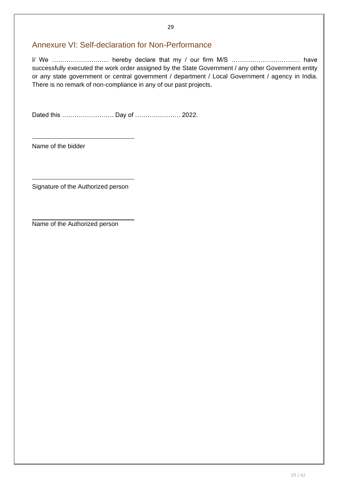#### <span id="page-28-0"></span>Annexure VI: Self-declaration for Non-Performance

I/ We ………………….…... hereby declare that my / our firm M/S …………………………… have successfully executed the work order assigned by the State Government / any other Government entity or any state government or central government / department / Local Government / agency in India. There is no remark of non-compliance in any of our past projects.

Dated this ……………………. Day of …………………. 2022.

Name of the bidder

Signature of the Authorized person

Name of the Authorized person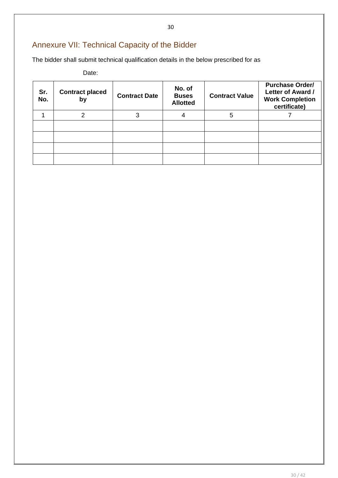### <span id="page-29-0"></span>Annexure VII: Technical Capacity of the Bidder

The bidder shall submit technical qualification details in the below prescribed for as

#### Date:

| Sr.<br>No. | <b>Contract placed</b><br>by | <b>Contract Date</b> | No. of<br><b>Buses</b><br><b>Allotted</b> | <b>Contract Value</b> | <b>Purchase Order/</b><br>Letter of Award /<br><b>Work Completion</b><br>certificate) |
|------------|------------------------------|----------------------|-------------------------------------------|-----------------------|---------------------------------------------------------------------------------------|
|            | 2                            | 3                    | 4                                         | 5                     |                                                                                       |
|            |                              |                      |                                           |                       |                                                                                       |
|            |                              |                      |                                           |                       |                                                                                       |
|            |                              |                      |                                           |                       |                                                                                       |
|            |                              |                      |                                           |                       |                                                                                       |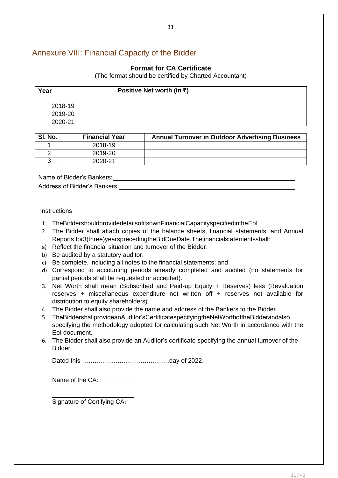### <span id="page-30-0"></span>Annexure VIII: Financial Capacity of the Bidder

#### **Format for CA Certificate**

(The format should be certified by Charted Accountant)

| Year    | Positive Net worth (in ₹) |
|---------|---------------------------|
| 2018-19 |                           |
| 2019-20 |                           |
| 2020-21 |                           |

| SI. No. | <b>Financial Year</b> | <b>Annual Turnover in Outdoor Advertising Business</b> |
|---------|-----------------------|--------------------------------------------------------|
|         | 2018-19               |                                                        |
|         | 2019-20               |                                                        |
|         | 2020-21               |                                                        |

Name of Bidder's Bankers:

Address of Bidder's Bankers:

**Instructions** 

- 1. TheBiddershouldprovidedetailsofitsownFinancialCapacityspecifiedintheEoI
- 2. The Bidder shall attach copies of the balance sheets, financial statements, and Annual Reports for3(three)yearsprecedingtheBidDueDate.Thefinancialstatementsshall:
- a) Reflect the financial situation and turnover of the Bidder.
- b) Be audited by a statutory auditor.
- c) Be complete, including all notes to the financial statements; and
- d) Correspond to accounting periods already completed and audited (no statements for partial periods shall be requested or accepted).
- 3. Net Worth shall mean (Subscribed and Paid-up Equity + Reserves) less (Revaluation reserves + miscellaneous expenditure not written off + reserves not available for distribution to equity shareholders).
- 4. The Bidder shall also provide the name and address of the Bankers to the Bidder.
- 5. TheBiddershallprovideanAuditor'sCertificatespecifyingtheNetWorthoftheBidderandalso specifying the methodology adopted for calculating such Net Worth in accordance with the EoI document.
- 6. The Bidder shall also provide an Auditor's certificate specifying the annual turnover of the Bidder

Dated this ……………………………………day of 2022.

Name of the CA:

Signature of Certifying CA: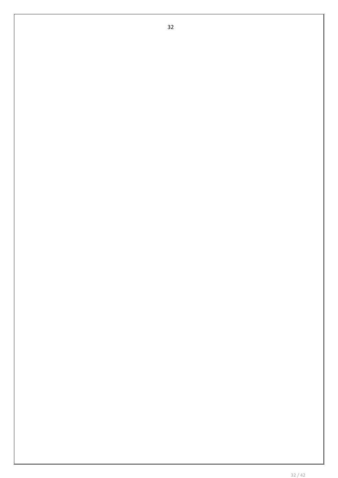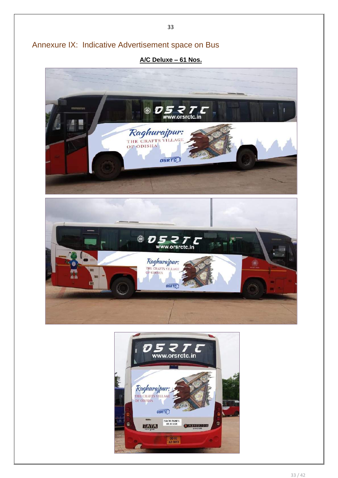<span id="page-32-0"></span>

#### **A/C Deluxe – 61 Nos.**



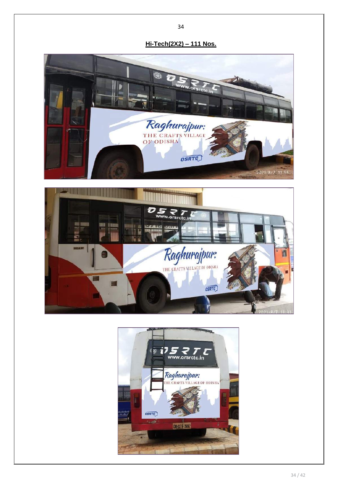#### **Hi-Tech(2X2) – 111 Nos.**





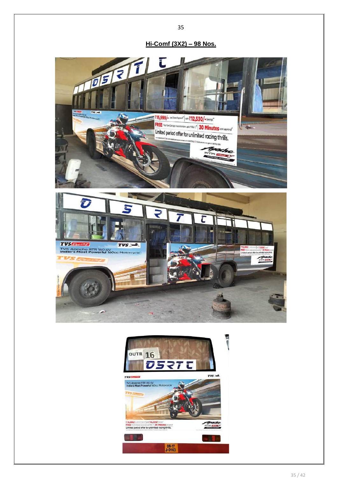#### **Hi-Comf (3X2) – 98 Nos.**



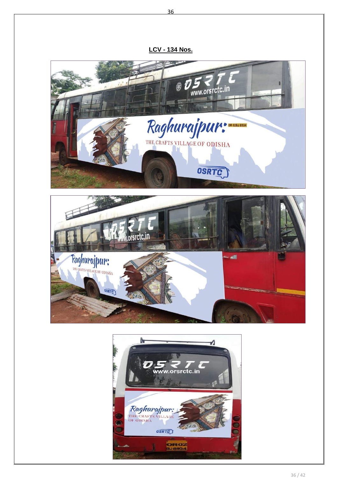





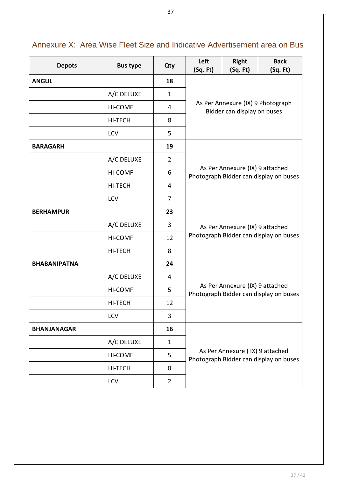# <span id="page-36-0"></span>Annexure X: Area Wise Fleet Size and Indicative Advertisement area on Bus

| <b>Depots</b>       | <b>Bus type</b> | Qty            | Left<br>(Sq. Ft)                                                          | <b>Right</b><br>(Sq. Ft)        | <b>Back</b><br>(Sq. Ft)                |
|---------------------|-----------------|----------------|---------------------------------------------------------------------------|---------------------------------|----------------------------------------|
| <b>ANGUL</b>        |                 | 18             |                                                                           |                                 |                                        |
|                     | A/C DELUXE      | 1              | As Per Annexure (IX) 9 Photograph<br>Bidder can display on buses          |                                 |                                        |
|                     | <b>HI-COMF</b>  | 4              |                                                                           |                                 |                                        |
|                     | HI-TECH         | 8              |                                                                           |                                 |                                        |
|                     | LCV             | 5              |                                                                           |                                 |                                        |
| <b>BARAGARH</b>     |                 | 19             |                                                                           |                                 |                                        |
|                     | A/C DELUXE      | $\overline{2}$ |                                                                           |                                 |                                        |
|                     | <b>HI-COMF</b>  | 6              |                                                                           | As Per Annexure (IX) 9 attached |                                        |
|                     | HI-TECH         | 4              | Photograph Bidder can display on buses                                    |                                 |                                        |
|                     | LCV             | $\overline{7}$ |                                                                           |                                 |                                        |
| <b>BERHAMPUR</b>    |                 | 23             |                                                                           |                                 |                                        |
|                     | A/C DELUXE      | 3              | As Per Annexure (IX) 9 attached<br>Photograph Bidder can display on buses |                                 |                                        |
|                     | <b>HI-COMF</b>  | 12             |                                                                           |                                 |                                        |
|                     | HI-TECH         | 8              |                                                                           |                                 |                                        |
| <b>BHABANIPATNA</b> |                 | 24             |                                                                           |                                 |                                        |
|                     | A/C DELUXE      | 4              |                                                                           |                                 |                                        |
|                     | <b>HI-COMF</b>  | 5              |                                                                           | As Per Annexure (IX) 9 attached | Photograph Bidder can display on buses |
|                     | HI-TECH         | 12             |                                                                           |                                 |                                        |
|                     | LCV             | 3              |                                                                           |                                 |                                        |
| <b>BHANJANAGAR</b>  |                 | 16             |                                                                           |                                 |                                        |
|                     | A/C DELUXE      | $\mathbf{1}$   | As Per Annexure (IX) 9 attached<br>Photograph Bidder can display on buses |                                 |                                        |
|                     | <b>HI-COMF</b>  | 5              |                                                                           |                                 |                                        |
|                     | HI-TECH         | 8              |                                                                           |                                 |                                        |
|                     | LCV             | $\overline{2}$ |                                                                           |                                 |                                        |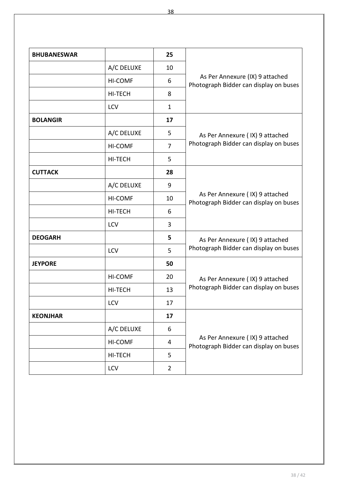| <b>BHUBANESWAR</b> |                | 25             |                                                                           |
|--------------------|----------------|----------------|---------------------------------------------------------------------------|
|                    | A/C DELUXE     | 10             |                                                                           |
|                    | <b>HI-COMF</b> | 6              | As Per Annexure (IX) 9 attached<br>Photograph Bidder can display on buses |
|                    | <b>HI-TECH</b> | 8              |                                                                           |
|                    | LCV            | $\mathbf{1}$   |                                                                           |
| <b>BOLANGIR</b>    |                | 17             |                                                                           |
|                    | A/C DELUXE     | 5              | As Per Annexure (IX) 9 attached                                           |
|                    | <b>HI-COMF</b> | 7              | Photograph Bidder can display on buses                                    |
|                    | HI-TECH        | 5              |                                                                           |
| <b>CUTTACK</b>     |                | 28             |                                                                           |
|                    | A/C DELUXE     | 9              |                                                                           |
|                    | <b>HI-COMF</b> | 10             | As Per Annexure (IX) 9 attached<br>Photograph Bidder can display on buses |
|                    | HI-TECH        | 6              |                                                                           |
|                    | LCV            | 3              |                                                                           |
| <b>DEOGARH</b>     |                | 5              | As Per Annexure (IX) 9 attached                                           |
|                    | <b>LCV</b>     | 5              | Photograph Bidder can display on buses                                    |
| <b>JEYPORE</b>     |                | 50             |                                                                           |
|                    | <b>HI-COMF</b> | 20             | As Per Annexure (IX) 9 attached                                           |
|                    | HI-TECH        | 13             | Photograph Bidder can display on buses                                    |
|                    | LCV            | 17             |                                                                           |
| <b>KEONJHAR</b>    |                | 17             |                                                                           |
|                    | A/C DELUXE     | 6              |                                                                           |
|                    | <b>HI-COMF</b> | 4              | As Per Annexure (IX) 9 attached<br>Photograph Bidder can display on buses |
|                    | HI-TECH        | 5              |                                                                           |
|                    | LCV            | $\overline{2}$ |                                                                           |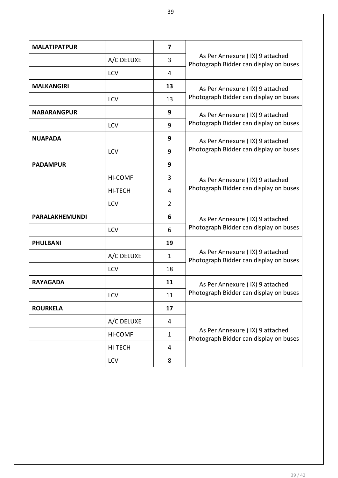| <b>MALATIPATPUR</b>   |                | 7              |                                                                           |
|-----------------------|----------------|----------------|---------------------------------------------------------------------------|
|                       | A/C DELUXE     | 3              | As Per Annexure (IX) 9 attached<br>Photograph Bidder can display on buses |
|                       | LCV            | 4              |                                                                           |
| <b>MALKANGIRI</b>     |                | 13             | As Per Annexure (IX) 9 attached                                           |
|                       | LCV            | 13             | Photograph Bidder can display on buses                                    |
| <b>NABARANGPUR</b>    |                | 9              | As Per Annexure (IX) 9 attached                                           |
|                       | LCV            | 9              | Photograph Bidder can display on buses                                    |
| <b>NUAPADA</b>        |                | 9              | As Per Annexure (IX) 9 attached                                           |
|                       | LCV            | 9              | Photograph Bidder can display on buses                                    |
| <b>PADAMPUR</b>       |                | 9              |                                                                           |
|                       | <b>HI-COMF</b> | 3              | As Per Annexure (IX) 9 attached                                           |
|                       | <b>HI-TECH</b> | 4              | Photograph Bidder can display on buses                                    |
|                       | LCV            | $\overline{2}$ |                                                                           |
| <b>PARALAKHEMUNDI</b> |                | 6              | As Per Annexure (IX) 9 attached                                           |
|                       | LCV            | 6              | Photograph Bidder can display on buses                                    |
| <b>PHULBANI</b>       |                | 19             |                                                                           |
|                       | A/C DELUXE     | $\mathbf{1}$   | As Per Annexure (IX) 9 attached<br>Photograph Bidder can display on buses |
|                       | LCV            | 18             |                                                                           |
| <b>RAYAGADA</b>       |                | 11             | As Per Annexure (IX) 9 attached                                           |
|                       | LCV            | 11             | Photograph Bidder can display on buses                                    |
| <b>ROURKELA</b>       |                | 17             |                                                                           |
|                       | A/C DELUXE     | 4              |                                                                           |
|                       | <b>HI-COMF</b> | $\mathbf{1}$   | As Per Annexure (IX) 9 attached<br>Photograph Bidder can display on buses |
|                       | HI-TECH        | 4              |                                                                           |
|                       | LCV            | 8              |                                                                           |
|                       |                |                |                                                                           |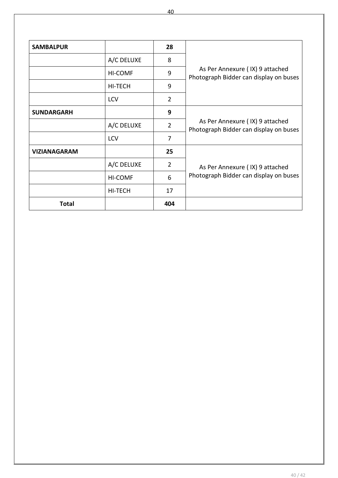| <b>SAMBALPUR</b>    |                | 28             |                                                                           |
|---------------------|----------------|----------------|---------------------------------------------------------------------------|
|                     | A/C DELUXE     | 8              |                                                                           |
|                     | <b>HI-COMF</b> | 9              | As Per Annexure (IX) 9 attached<br>Photograph Bidder can display on buses |
|                     | HI-TECH        | 9              |                                                                           |
|                     | <b>LCV</b>     | $\overline{2}$ |                                                                           |
| <b>SUNDARGARH</b>   |                | 9              |                                                                           |
|                     | A/C DELUXE     | $\overline{2}$ | As Per Annexure (IX) 9 attached<br>Photograph Bidder can display on buses |
|                     | <b>LCV</b>     | 7              |                                                                           |
| <b>VIZIANAGARAM</b> |                | 25             |                                                                           |
|                     | A/C DELUXE     | $\overline{2}$ | As Per Annexure (IX) 9 attached                                           |
|                     | <b>HI-COMF</b> | 6              | Photograph Bidder can display on buses                                    |
|                     | HI-TECH        | 17             |                                                                           |
| <b>Total</b>        |                | 404            |                                                                           |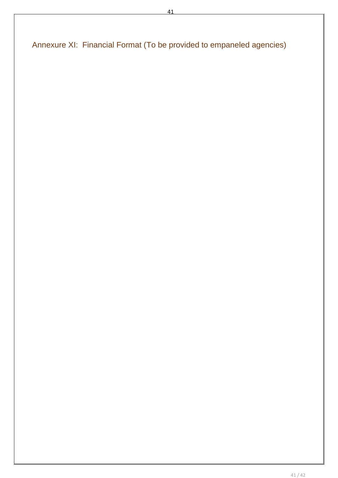Annexure XI: Financial Format (To be provided to empaneled agencies)